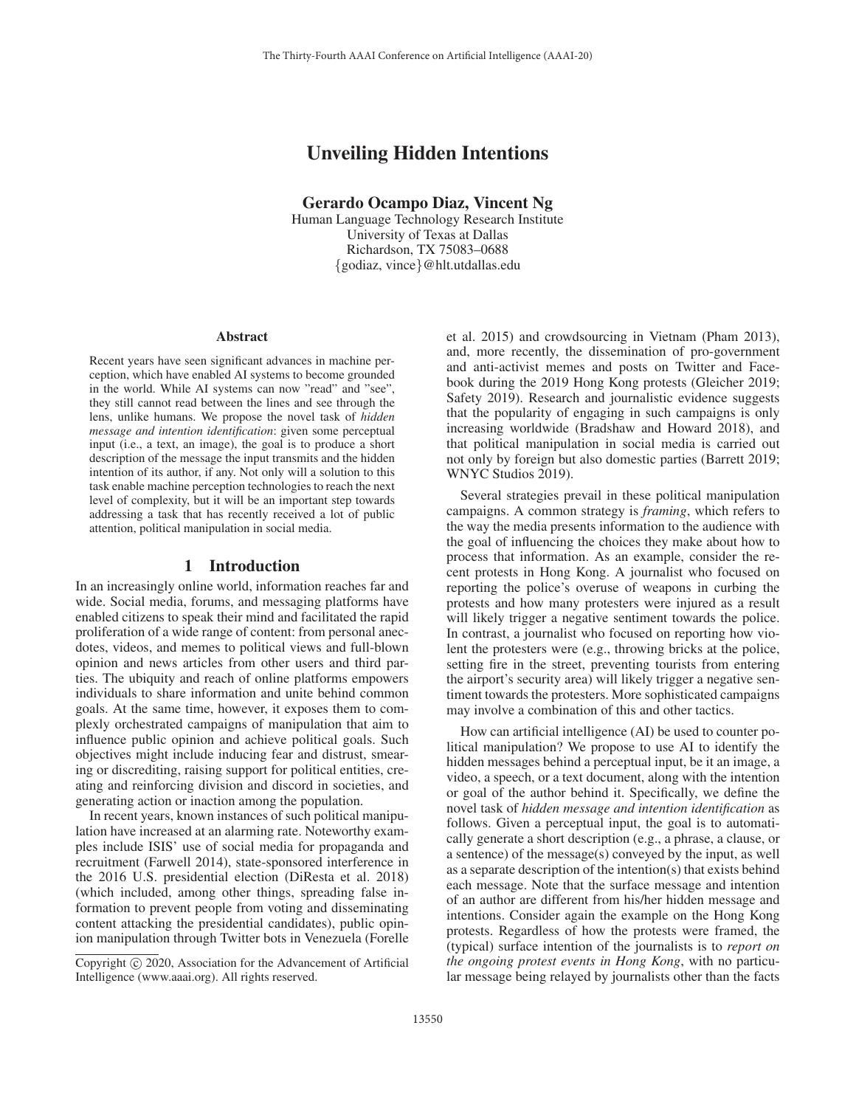# Unveiling Hidden Intentions

Gerardo Ocampo Diaz, Vincent Ng

Human Language Technology Research Institute University of Texas at Dallas Richardson, TX 75083–0688 {godiaz, vince}@hlt.utdallas.edu

#### Abstract

Recent years have seen significant advances in machine perception, which have enabled AI systems to become grounded in the world. While AI systems can now "read" and "see", they still cannot read between the lines and see through the lens, unlike humans. We propose the novel task of *hidden message and intention identification*: given some perceptual input (i.e., a text, an image), the goal is to produce a short description of the message the input transmits and the hidden intention of its author, if any. Not only will a solution to this task enable machine perception technologies to reach the next level of complexity, but it will be an important step towards addressing a task that has recently received a lot of public attention, political manipulation in social media.

### 1 Introduction

In an increasingly online world, information reaches far and wide. Social media, forums, and messaging platforms have enabled citizens to speak their mind and facilitated the rapid proliferation of a wide range of content: from personal anecdotes, videos, and memes to political views and full-blown opinion and news articles from other users and third parties. The ubiquity and reach of online platforms empowers individuals to share information and unite behind common goals. At the same time, however, it exposes them to complexly orchestrated campaigns of manipulation that aim to influence public opinion and achieve political goals. Such objectives might include inducing fear and distrust, smearing or discrediting, raising support for political entities, creating and reinforcing division and discord in societies, and generating action or inaction among the population.

In recent years, known instances of such political manipulation have increased at an alarming rate. Noteworthy examples include ISIS' use of social media for propaganda and recruitment (Farwell 2014), state-sponsored interference in the 2016 U.S. presidential election (DiResta et al. 2018) (which included, among other things, spreading false information to prevent people from voting and disseminating content attacking the presidential candidates), public opinion manipulation through Twitter bots in Venezuela (Forelle

et al. 2015) and crowdsourcing in Vietnam (Pham 2013), and, more recently, the dissemination of pro-government and anti-activist memes and posts on Twitter and Facebook during the 2019 Hong Kong protests (Gleicher 2019; Safety 2019). Research and journalistic evidence suggests that the popularity of engaging in such campaigns is only increasing worldwide (Bradshaw and Howard 2018), and that political manipulation in social media is carried out not only by foreign but also domestic parties (Barrett 2019; WNYC Studios 2019).

Several strategies prevail in these political manipulation campaigns. A common strategy is *framing*, which refers to the way the media presents information to the audience with the goal of influencing the choices they make about how to process that information. As an example, consider the recent protests in Hong Kong. A journalist who focused on reporting the police's overuse of weapons in curbing the protests and how many protesters were injured as a result will likely trigger a negative sentiment towards the police. In contrast, a journalist who focused on reporting how violent the protesters were (e.g., throwing bricks at the police, setting fire in the street, preventing tourists from entering the airport's security area) will likely trigger a negative sentiment towards the protesters. More sophisticated campaigns may involve a combination of this and other tactics.

How can artificial intelligence (AI) be used to counter political manipulation? We propose to use AI to identify the hidden messages behind a perceptual input, be it an image, a video, a speech, or a text document, along with the intention or goal of the author behind it. Specifically, we define the novel task of *hidden message and intention identification* as follows. Given a perceptual input, the goal is to automatically generate a short description (e.g., a phrase, a clause, or a sentence) of the message(s) conveyed by the input, as well as a separate description of the intention(s) that exists behind each message. Note that the surface message and intention of an author are different from his/her hidden message and intentions. Consider again the example on the Hong Kong protests. Regardless of how the protests were framed, the (typical) surface intention of the journalists is to *report on the ongoing protest events in Hong Kong*, with no particular message being relayed by journalists other than the facts

Copyright  $\odot$  2020, Association for the Advancement of Artificial Intelligence (www.aaai.org). All rights reserved.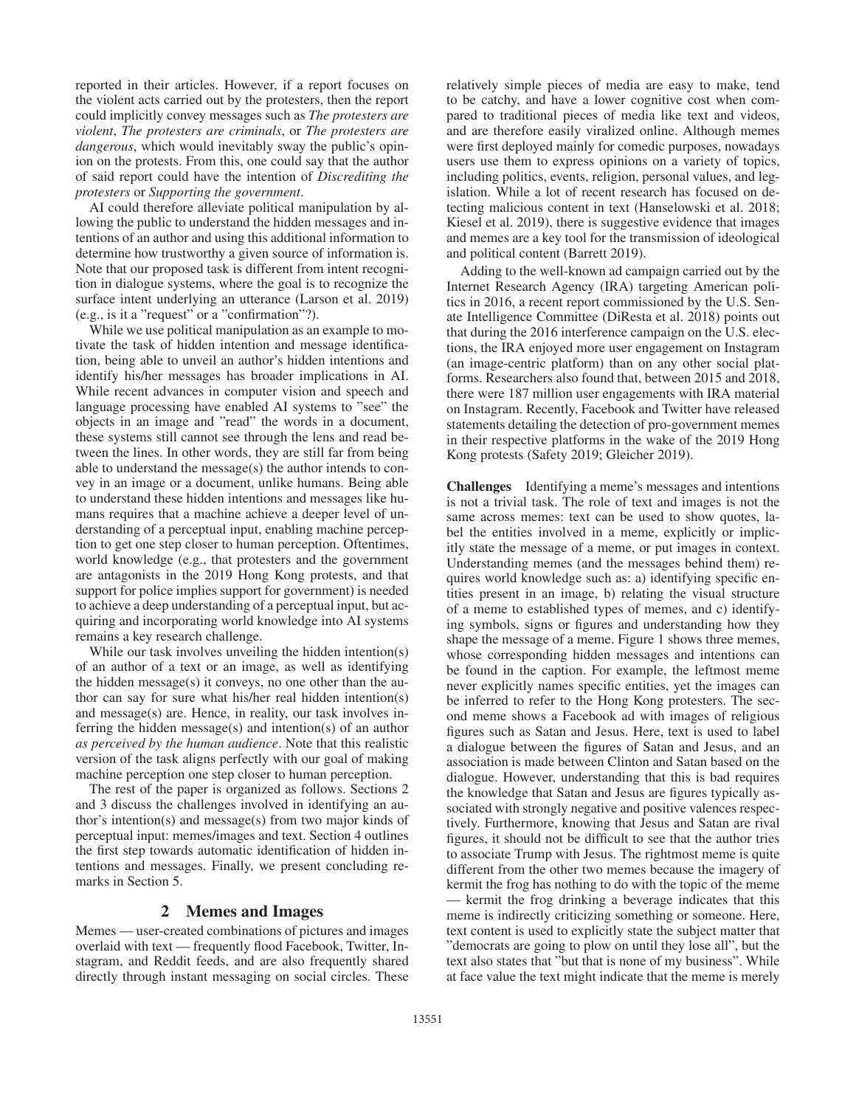reported in their articles. However, if a report focuses on the violent acts carried out by the protesters, then the report could implicitly convey messages such as *The protesters are violent*, *The protesters are criminals*, or *The protesters are dangerous*, which would inevitably sway the public's opinion on the protests. From this, one could say that the author of said report could have the intention of *Discrediting the protesters* or *Supporting the government*.

AI could therefore alleviate political manipulation by allowing the public to understand the hidden messages and intentions of an author and using this additional information to determine how trustworthy a given source of information is. Note that our proposed task is different from intent recognition in dialogue systems, where the goal is to recognize the surface intent underlying an utterance (Larson et al. 2019) (e.g., is it a "request" or a "confirmation"?).

While we use political manipulation as an example to motivate the task of hidden intention and message identification, being able to unveil an author's hidden intentions and identify his/her messages has broader implications in AI. While recent advances in computer vision and speech and language processing have enabled AI systems to "see" the objects in an image and "read" the words in a document, these systems still cannot see through the lens and read between the lines. In other words, they are still far from being able to understand the message(s) the author intends to convey in an image or a document, unlike humans. Being able to understand these hidden intentions and messages like humans requires that a machine achieve a deeper level of understanding of a perceptual input, enabling machine perception to get one step closer to human perception. Oftentimes, world knowledge (e.g., that protesters and the government are antagonists in the 2019 Hong Kong protests, and that support for police implies support for government) is needed to achieve a deep understanding of a perceptual input, but acquiring and incorporating world knowledge into AI systems remains a key research challenge.

While our task involves unveiling the hidden intention(s) of an author of a text or an image, as well as identifying the hidden message(s) it conveys, no one other than the author can say for sure what his/her real hidden intention(s) and message(s) are. Hence, in reality, our task involves inferring the hidden message(s) and intention(s) of an author *as perceived by the human audience*. Note that this realistic version of the task aligns perfectly with our goal of making machine perception one step closer to human perception.

The rest of the paper is organized as follows. Sections 2 and 3 discuss the challenges involved in identifying an author's intention(s) and message(s) from two major kinds of perceptual input: memes/images and text. Section 4 outlines the first step towards automatic identification of hidden intentions and messages. Finally, we present concluding remarks in Section 5.

#### 2 Memes and Images

Memes — user-created combinations of pictures and images overlaid with text — frequently flood Facebook, Twitter, Instagram, and Reddit feeds, and are also frequently shared directly through instant messaging on social circles. These relatively simple pieces of media are easy to make, tend to be catchy, and have a lower cognitive cost when compared to traditional pieces of media like text and videos, and are therefore easily viralized online. Although memes were first deployed mainly for comedic purposes, nowadays users use them to express opinions on a variety of topics, including politics, events, religion, personal values, and legislation. While a lot of recent research has focused on detecting malicious content in text (Hanselowski et al. 2018; Kiesel et al. 2019), there is suggestive evidence that images and memes are a key tool for the transmission of ideological and political content (Barrett 2019).

Adding to the well-known ad campaign carried out by the Internet Research Agency (IRA) targeting American politics in 2016, a recent report commissioned by the U.S. Senate Intelligence Committee (DiResta et al. 2018) points out that during the 2016 interference campaign on the U.S. elections, the IRA enjoyed more user engagement on Instagram (an image-centric platform) than on any other social platforms. Researchers also found that, between 2015 and 2018, there were 187 million user engagements with IRA material on Instagram. Recently, Facebook and Twitter have released statements detailing the detection of pro-government memes in their respective platforms in the wake of the 2019 Hong Kong protests (Safety 2019; Gleicher 2019).

Challenges Identifying a meme's messages and intentions is not a trivial task. The role of text and images is not the same across memes: text can be used to show quotes, label the entities involved in a meme, explicitly or implicitly state the message of a meme, or put images in context. Understanding memes (and the messages behind them) requires world knowledge such as: a) identifying specific entities present in an image, b) relating the visual structure of a meme to established types of memes, and c) identifying symbols, signs or figures and understanding how they shape the message of a meme. Figure 1 shows three memes, whose corresponding hidden messages and intentions can be found in the caption. For example, the leftmost meme never explicitly names specific entities, yet the images can be inferred to refer to the Hong Kong protesters. The second meme shows a Facebook ad with images of religious figures such as Satan and Jesus. Here, text is used to label a dialogue between the figures of Satan and Jesus, and an association is made between Clinton and Satan based on the dialogue. However, understanding that this is bad requires the knowledge that Satan and Jesus are figures typically associated with strongly negative and positive valences respectively. Furthermore, knowing that Jesus and Satan are rival figures, it should not be difficult to see that the author tries to associate Trump with Jesus. The rightmost meme is quite different from the other two memes because the imagery of kermit the frog has nothing to do with the topic of the meme — kermit the frog drinking a beverage indicates that this meme is indirectly criticizing something or someone. Here, text content is used to explicitly state the subject matter that "democrats are going to plow on until they lose all", but the text also states that "but that is none of my business". While at face value the text might indicate that the meme is merely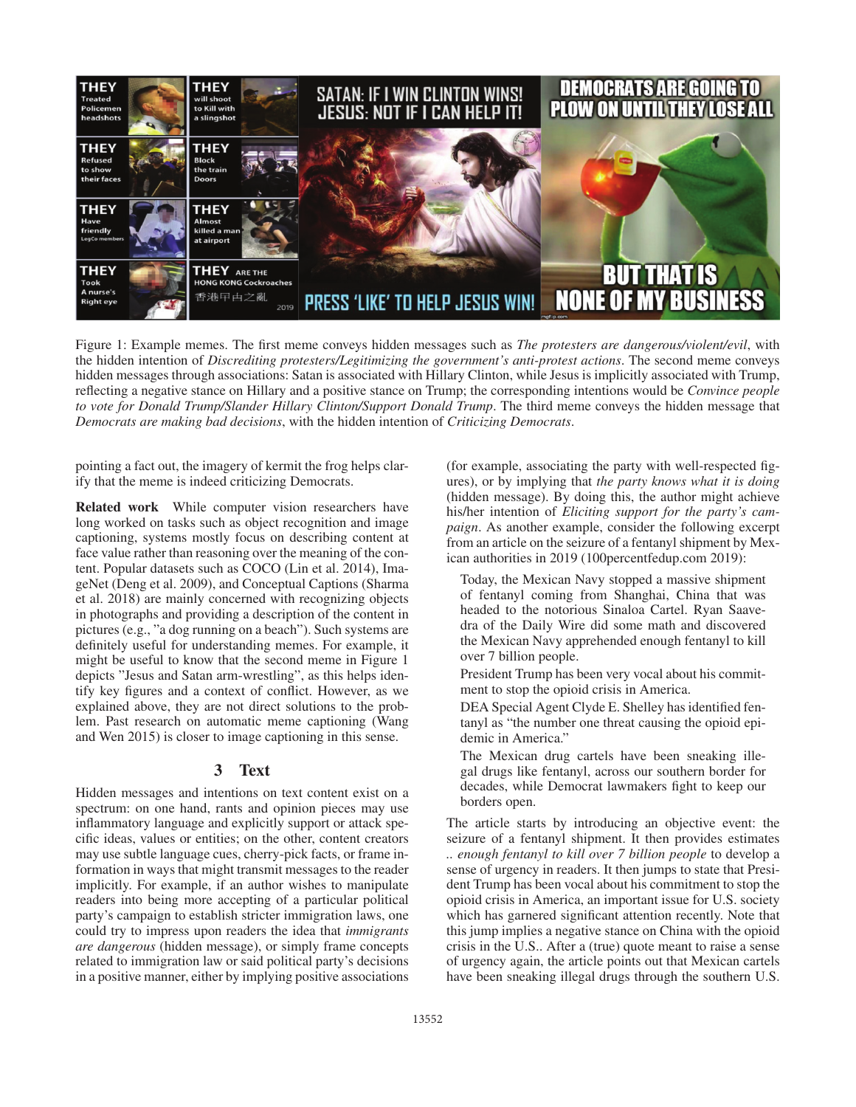

Figure 1: Example memes. The first meme conveys hidden messages such as *The protesters are dangerous/violent/evil*, with the hidden intention of *Discrediting protesters/Legitimizing the government's anti-protest actions*. The second meme conveys hidden messages through associations: Satan is associated with Hillary Clinton, while Jesus is implicitly associated with Trump, reflecting a negative stance on Hillary and a positive stance on Trump; the corresponding intentions would be *Convince people to vote for Donald Trump/Slander Hillary Clinton/Support Donald Trump*. The third meme conveys the hidden message that *Democrats are making bad decisions*, with the hidden intention of *Criticizing Democrats*.

pointing a fact out, the imagery of kermit the frog helps clarify that the meme is indeed criticizing Democrats.

Related work While computer vision researchers have long worked on tasks such as object recognition and image captioning, systems mostly focus on describing content at face value rather than reasoning over the meaning of the content. Popular datasets such as COCO (Lin et al. 2014), ImageNet (Deng et al. 2009), and Conceptual Captions (Sharma et al. 2018) are mainly concerned with recognizing objects in photographs and providing a description of the content in pictures (e.g., "a dog running on a beach"). Such systems are definitely useful for understanding memes. For example, it might be useful to know that the second meme in Figure 1 depicts "Jesus and Satan arm-wrestling", as this helps identify key figures and a context of conflict. However, as we explained above, they are not direct solutions to the problem. Past research on automatic meme captioning (Wang and Wen 2015) is closer to image captioning in this sense.

## 3 Text

Hidden messages and intentions on text content exist on a spectrum: on one hand, rants and opinion pieces may use inflammatory language and explicitly support or attack specific ideas, values or entities; on the other, content creators may use subtle language cues, cherry-pick facts, or frame information in ways that might transmit messages to the reader implicitly. For example, if an author wishes to manipulate readers into being more accepting of a particular political party's campaign to establish stricter immigration laws, one could try to impress upon readers the idea that *immigrants are dangerous* (hidden message), or simply frame concepts related to immigration law or said political party's decisions in a positive manner, either by implying positive associations

(for example, associating the party with well-respected figures), or by implying that *the party knows what it is doing* (hidden message). By doing this, the author might achieve his/her intention of *Eliciting support for the party's campaign*. As another example, consider the following excerpt from an article on the seizure of a fentanyl shipment by Mexican authorities in 2019 (100percentfedup.com 2019):

Today, the Mexican Navy stopped a massive shipment of fentanyl coming from Shanghai, China that was headed to the notorious Sinaloa Cartel. Ryan Saavedra of the Daily Wire did some math and discovered the Mexican Navy apprehended enough fentanyl to kill over 7 billion people.

President Trump has been very vocal about his commitment to stop the opioid crisis in America.

DEA Special Agent Clyde E. Shelley has identified fentanyl as "the number one threat causing the opioid epidemic in America."

The Mexican drug cartels have been sneaking illegal drugs like fentanyl, across our southern border for decades, while Democrat lawmakers fight to keep our borders open.

The article starts by introducing an objective event: the seizure of a fentanyl shipment. It then provides estimates *.. enough fentanyl to kill over 7 billion people* to develop a sense of urgency in readers. It then jumps to state that President Trump has been vocal about his commitment to stop the opioid crisis in America, an important issue for U.S. society which has garnered significant attention recently. Note that this jump implies a negative stance on China with the opioid crisis in the U.S.. After a (true) quote meant to raise a sense of urgency again, the article points out that Mexican cartels have been sneaking illegal drugs through the southern U.S.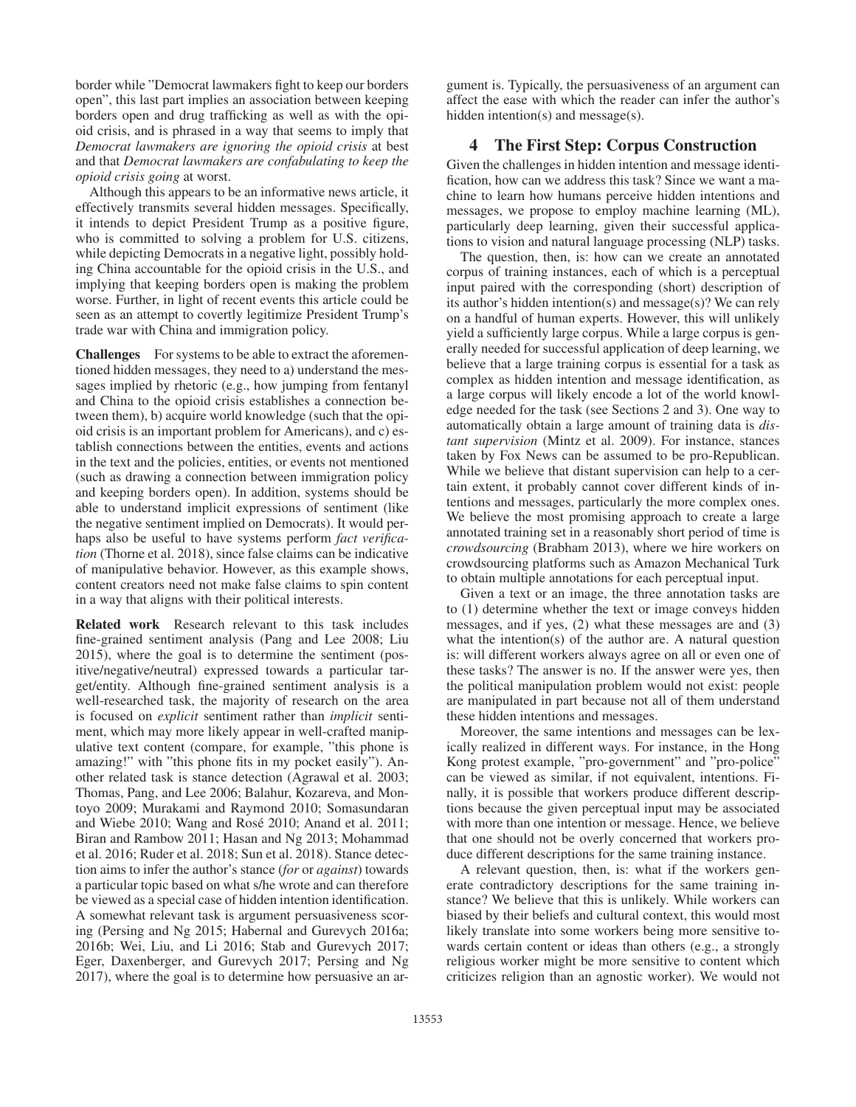border while "Democrat lawmakers fight to keep our borders open", this last part implies an association between keeping borders open and drug trafficking as well as with the opioid crisis, and is phrased in a way that seems to imply that *Democrat lawmakers are ignoring the opioid crisis* at best and that *Democrat lawmakers are confabulating to keep the opioid crisis going* at worst.

Although this appears to be an informative news article, it effectively transmits several hidden messages. Specifically, it intends to depict President Trump as a positive figure, who is committed to solving a problem for U.S. citizens, while depicting Democrats in a negative light, possibly holding China accountable for the opioid crisis in the U.S., and implying that keeping borders open is making the problem worse. Further, in light of recent events this article could be seen as an attempt to covertly legitimize President Trump's trade war with China and immigration policy.

Challenges For systems to be able to extract the aforementioned hidden messages, they need to a) understand the messages implied by rhetoric (e.g., how jumping from fentanyl and China to the opioid crisis establishes a connection between them), b) acquire world knowledge (such that the opioid crisis is an important problem for Americans), and c) establish connections between the entities, events and actions in the text and the policies, entities, or events not mentioned (such as drawing a connection between immigration policy and keeping borders open). In addition, systems should be able to understand implicit expressions of sentiment (like the negative sentiment implied on Democrats). It would perhaps also be useful to have systems perform *fact verification* (Thorne et al. 2018), since false claims can be indicative of manipulative behavior. However, as this example shows, content creators need not make false claims to spin content in a way that aligns with their political interests.

Related work Research relevant to this task includes fine-grained sentiment analysis (Pang and Lee 2008; Liu 2015), where the goal is to determine the sentiment (positive/negative/neutral) expressed towards a particular target/entity. Although fine-grained sentiment analysis is a well-researched task, the majority of research on the area is focused on *explicit* sentiment rather than *implicit* sentiment, which may more likely appear in well-crafted manipulative text content (compare, for example, "this phone is amazing!" with "this phone fits in my pocket easily"). Another related task is stance detection (Agrawal et al. 2003; Thomas, Pang, and Lee 2006; Balahur, Kozareva, and Montoyo 2009; Murakami and Raymond 2010; Somasundaran and Wiebe 2010; Wang and Rosé 2010; Anand et al. 2011; Biran and Rambow 2011; Hasan and Ng 2013; Mohammad et al. 2016; Ruder et al. 2018; Sun et al. 2018). Stance detection aims to infer the author's stance (*for* or *against*) towards a particular topic based on what s/he wrote and can therefore be viewed as a special case of hidden intention identification. A somewhat relevant task is argument persuasiveness scoring (Persing and Ng 2015; Habernal and Gurevych 2016a; 2016b; Wei, Liu, and Li 2016; Stab and Gurevych 2017; Eger, Daxenberger, and Gurevych 2017; Persing and Ng 2017), where the goal is to determine how persuasive an ar-

gument is. Typically, the persuasiveness of an argument can affect the ease with which the reader can infer the author's hidden intention(s) and message(s).

## 4 The First Step: Corpus Construction

Given the challenges in hidden intention and message identification, how can we address this task? Since we want a machine to learn how humans perceive hidden intentions and messages, we propose to employ machine learning (ML), particularly deep learning, given their successful applications to vision and natural language processing (NLP) tasks.

The question, then, is: how can we create an annotated corpus of training instances, each of which is a perceptual input paired with the corresponding (short) description of its author's hidden intention(s) and message(s)? We can rely on a handful of human experts. However, this will unlikely yield a sufficiently large corpus. While a large corpus is generally needed for successful application of deep learning, we believe that a large training corpus is essential for a task as complex as hidden intention and message identification, as a large corpus will likely encode a lot of the world knowledge needed for the task (see Sections 2 and 3). One way to automatically obtain a large amount of training data is *distant supervision* (Mintz et al. 2009). For instance, stances taken by Fox News can be assumed to be pro-Republican. While we believe that distant supervision can help to a certain extent, it probably cannot cover different kinds of intentions and messages, particularly the more complex ones. We believe the most promising approach to create a large annotated training set in a reasonably short period of time is *crowdsourcing* (Brabham 2013), where we hire workers on crowdsourcing platforms such as Amazon Mechanical Turk to obtain multiple annotations for each perceptual input.

Given a text or an image, the three annotation tasks are to (1) determine whether the text or image conveys hidden messages, and if yes, (2) what these messages are and (3) what the intention(s) of the author are. A natural question is: will different workers always agree on all or even one of these tasks? The answer is no. If the answer were yes, then the political manipulation problem would not exist: people are manipulated in part because not all of them understand these hidden intentions and messages.

Moreover, the same intentions and messages can be lexically realized in different ways. For instance, in the Hong Kong protest example, "pro-government" and "pro-police" can be viewed as similar, if not equivalent, intentions. Finally, it is possible that workers produce different descriptions because the given perceptual input may be associated with more than one intention or message. Hence, we believe that one should not be overly concerned that workers produce different descriptions for the same training instance.

A relevant question, then, is: what if the workers generate contradictory descriptions for the same training instance? We believe that this is unlikely. While workers can biased by their beliefs and cultural context, this would most likely translate into some workers being more sensitive towards certain content or ideas than others (e.g., a strongly religious worker might be more sensitive to content which criticizes religion than an agnostic worker). We would not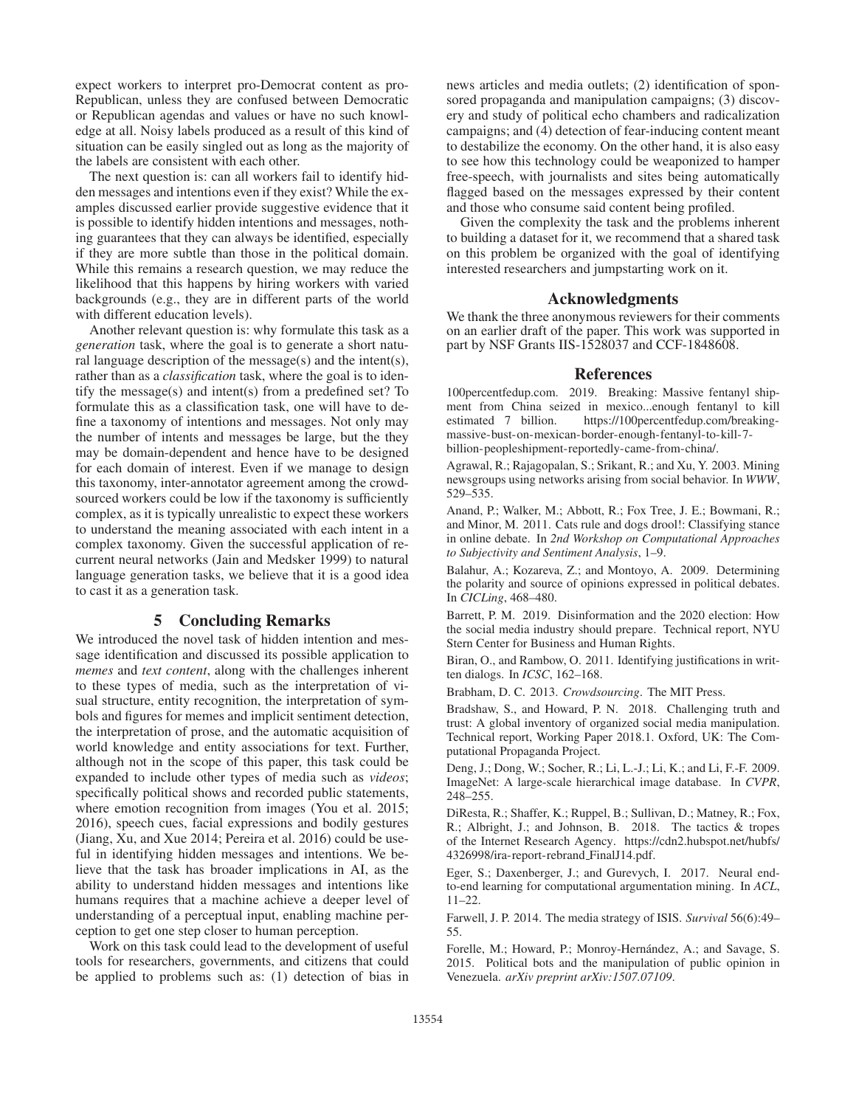expect workers to interpret pro-Democrat content as pro-Republican, unless they are confused between Democratic or Republican agendas and values or have no such knowledge at all. Noisy labels produced as a result of this kind of situation can be easily singled out as long as the majority of the labels are consistent with each other.

The next question is: can all workers fail to identify hidden messages and intentions even if they exist? While the examples discussed earlier provide suggestive evidence that it is possible to identify hidden intentions and messages, nothing guarantees that they can always be identified, especially if they are more subtle than those in the political domain. While this remains a research question, we may reduce the likelihood that this happens by hiring workers with varied backgrounds (e.g., they are in different parts of the world with different education levels).

Another relevant question is: why formulate this task as a *generation* task, where the goal is to generate a short natural language description of the message(s) and the intent(s), rather than as a *classification* task, where the goal is to identify the message(s) and intent(s) from a predefined set? To formulate this as a classification task, one will have to define a taxonomy of intentions and messages. Not only may the number of intents and messages be large, but the they may be domain-dependent and hence have to be designed for each domain of interest. Even if we manage to design this taxonomy, inter-annotator agreement among the crowdsourced workers could be low if the taxonomy is sufficiently complex, as it is typically unrealistic to expect these workers to understand the meaning associated with each intent in a complex taxonomy. Given the successful application of recurrent neural networks (Jain and Medsker 1999) to natural language generation tasks, we believe that it is a good idea to cast it as a generation task.

## 5 Concluding Remarks

We introduced the novel task of hidden intention and message identification and discussed its possible application to *memes* and *text content*, along with the challenges inherent to these types of media, such as the interpretation of visual structure, entity recognition, the interpretation of symbols and figures for memes and implicit sentiment detection, the interpretation of prose, and the automatic acquisition of world knowledge and entity associations for text. Further, although not in the scope of this paper, this task could be expanded to include other types of media such as *videos*; specifically political shows and recorded public statements, where emotion recognition from images (You et al. 2015; 2016), speech cues, facial expressions and bodily gestures (Jiang, Xu, and Xue 2014; Pereira et al. 2016) could be useful in identifying hidden messages and intentions. We believe that the task has broader implications in AI, as the ability to understand hidden messages and intentions like humans requires that a machine achieve a deeper level of understanding of a perceptual input, enabling machine perception to get one step closer to human perception.

Work on this task could lead to the development of useful tools for researchers, governments, and citizens that could be applied to problems such as: (1) detection of bias in news articles and media outlets; (2) identification of sponsored propaganda and manipulation campaigns; (3) discovery and study of political echo chambers and radicalization campaigns; and (4) detection of fear-inducing content meant to destabilize the economy. On the other hand, it is also easy to see how this technology could be weaponized to hamper free-speech, with journalists and sites being automatically flagged based on the messages expressed by their content and those who consume said content being profiled.

Given the complexity the task and the problems inherent to building a dataset for it, we recommend that a shared task on this problem be organized with the goal of identifying interested researchers and jumpstarting work on it.

### Acknowledgments

We thank the three anonymous reviewers for their comments on an earlier draft of the paper. This work was supported in part by NSF Grants IIS-1528037 and CCF-1848608.

#### References

100percentfedup.com. 2019. Breaking: Massive fentanyl shipment from China seized in mexico...enough fentanyl to kill estimated 7 billion. https://100percentfedup.com/breakingmassive-bust-on-mexican-border-enough-fentanyl-to-kill-7 billion-peopleshipment-reportedly-came-from-china/.

Agrawal, R.; Rajagopalan, S.; Srikant, R.; and Xu, Y. 2003. Mining newsgroups using networks arising from social behavior. In *WWW*, 529–535.

Anand, P.; Walker, M.; Abbott, R.; Fox Tree, J. E.; Bowmani, R.; and Minor, M. 2011. Cats rule and dogs drool!: Classifying stance in online debate. In *2nd Workshop on Computational Approaches to Subjectivity and Sentiment Analysis*, 1–9.

Balahur, A.; Kozareva, Z.; and Montoyo, A. 2009. Determining the polarity and source of opinions expressed in political debates. In *CICLing*, 468–480.

Barrett, P. M. 2019. Disinformation and the 2020 election: How the social media industry should prepare. Technical report, NYU Stern Center for Business and Human Rights.

Biran, O., and Rambow, O. 2011. Identifying justifications in written dialogs. In *ICSC*, 162–168.

Brabham, D. C. 2013. *Crowdsourcing*. The MIT Press.

Bradshaw, S., and Howard, P. N. 2018. Challenging truth and trust: A global inventory of organized social media manipulation. Technical report, Working Paper 2018.1. Oxford, UK: The Computational Propaganda Project.

Deng, J.; Dong, W.; Socher, R.; Li, L.-J.; Li, K.; and Li, F.-F. 2009. ImageNet: A large-scale hierarchical image database. In *CVPR*, 248–255.

DiResta, R.; Shaffer, K.; Ruppel, B.; Sullivan, D.; Matney, R.; Fox, R.; Albright, J.; and Johnson, B. 2018. The tactics & tropes of the Internet Research Agency. https://cdn2.hubspot.net/hubfs/ 4326998/ira-report-rebrand FinalJ14.pdf.

Eger, S.; Daxenberger, J.; and Gurevych, I. 2017. Neural endto-end learning for computational argumentation mining. In *ACL*, 11–22.

Farwell, J. P. 2014. The media strategy of ISIS. *Survival* 56(6):49– 55.

Forelle, M.; Howard, P.; Monroy-Hernández, A.; and Savage, S. 2015. Political bots and the manipulation of public opinion in Venezuela. *arXiv preprint arXiv:1507.07109*.